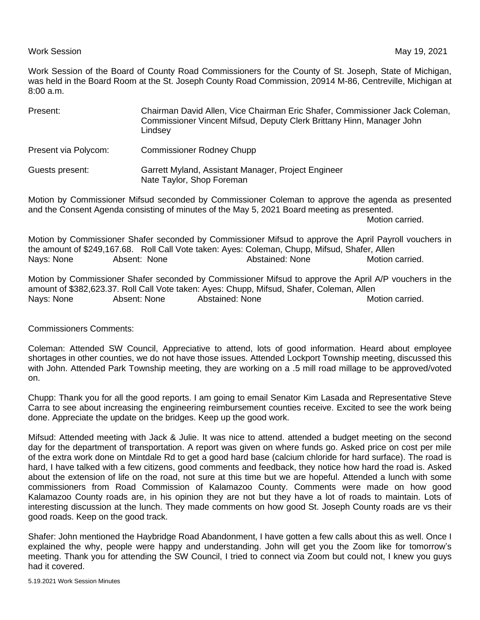## Work Session **May 19, 2021**

Work Session of the Board of County Road Commissioners for the County of St. Joseph, State of Michigan, was held in the Board Room at the St. Joseph County Road Commission, 20914 M-86, Centreville, Michigan at 8:00 a.m.

| Present:                                                                                           | Chairman David Allen, Vice Chairman Eric Shafer, Commissioner Jack Coleman,<br>Commissioner Vincent Mifsud, Deputy Clerk Brittany Hinn, Manager John<br>Lindsey |
|----------------------------------------------------------------------------------------------------|-----------------------------------------------------------------------------------------------------------------------------------------------------------------|
| Present via Polycom:                                                                               | <b>Commissioner Rodney Chupp</b>                                                                                                                                |
| Guests present:                                                                                    | Garrett Myland, Assistant Manager, Project Engineer<br>Nate Taylor, Shop Foreman                                                                                |
| Metion by Commissioner Mitsud coopeded by Commissioner Coloman to enproye the oceando as proponted |                                                                                                                                                                 |

Motion by Commissioner Mifsud seconded by Commissioner Coleman to approve the agenda as presented and the Consent Agenda consisting of minutes of the May 5, 2021 Board meeting as presented.

Motion carried.

Motion by Commissioner Shafer seconded by Commissioner Mifsud to approve the April Payroll vouchers in the amount of \$249,167.68. Roll Call Vote taken: Ayes: Coleman, Chupp, Mifsud, Shafer, Allen Nays: None Absent: None Abstained: None Motion carried.

Motion by Commissioner Shafer seconded by Commissioner Mifsud to approve the April A/P vouchers in the amount of \$382,623.37. Roll Call Vote taken: Ayes: Chupp, Mifsud, Shafer, Coleman, Allen Nays: None **Absent: None** Abstained: None **Abstained: Abstained**.

Commissioners Comments:

Coleman: Attended SW Council, Appreciative to attend, lots of good information. Heard about employee shortages in other counties, we do not have those issues. Attended Lockport Township meeting, discussed this with John. Attended Park Township meeting, they are working on a .5 mill road millage to be approved/voted on.

Chupp: Thank you for all the good reports. I am going to email Senator Kim Lasada and Representative Steve Carra to see about increasing the engineering reimbursement counties receive. Excited to see the work being done. Appreciate the update on the bridges. Keep up the good work.

Mifsud: Attended meeting with Jack & Julie. It was nice to attend. attended a budget meeting on the second day for the department of transportation. A report was given on where funds go. Asked price on cost per mile of the extra work done on Mintdale Rd to get a good hard base (calcium chloride for hard surface). The road is hard, I have talked with a few citizens, good comments and feedback, they notice how hard the road is. Asked about the extension of life on the road, not sure at this time but we are hopeful. Attended a lunch with some commissioners from Road Commission of Kalamazoo County. Comments were made on how good Kalamazoo County roads are, in his opinion they are not but they have a lot of roads to maintain. Lots of interesting discussion at the lunch. They made comments on how good St. Joseph County roads are vs their good roads. Keep on the good track.

Shafer: John mentioned the Haybridge Road Abandonment, I have gotten a few calls about this as well. Once I explained the why, people were happy and understanding. John will get you the Zoom like for tomorrow's meeting. Thank you for attending the SW Council, I tried to connect via Zoom but could not, I knew you guys had it covered.